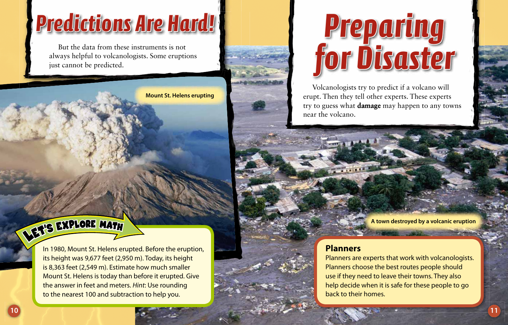### *Predictions Are Hard! redictions*

But the data from these instruments is not always helpful to volcanologists. Some eruptions just cannot be predicted.



# DET'S EXPLORE MATH

In 1980, Mount St. Helens erupted. Before the eruption, its height was 9,677 feet (2,950 m). Today, its height is 8,363 feet (2,549 m). Estimate how much smaller Mount St. Helens is today than before it erupted. Give the answer in feet and meters. Hint: Use rounding to the nearest 100 and subtraction to help you.

# *Preparing reparing for Disaster or*

Volcanologists try to predict if a volcano will erupt. Then they tell other experts. These experts try to guess what **damage** may happen to any towns near the volcano.

**A town destroyed by a volcanic eruption**

#### **Planners**

Planners are experts that work with volcanologists. Planners choose the best routes people should use if they need to leave their towns. They also help decide when it is safe for these people to go back to their homes.